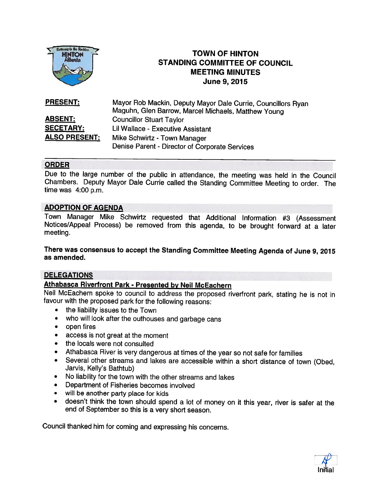

# TOWN OF HINTON **STANDING COMMITTEE OF COUNCIL** MEETING MINUTES June 9, 2015

| <b>PRESENT:</b>      | Mayor Rob Mackin, Deputy Mayor Dale Currie, Councillors Ryan |
|----------------------|--------------------------------------------------------------|
|                      | Maguhn, Glen Barrow, Marcel Michaels, Matthew Young          |
| <b>ABSENT:</b>       | <b>Councillor Stuart Taylor</b>                              |
| <b>SECETARY:</b>     | Lil Wallace - Executive Assistant                            |
| <b>ALSO PRESENT:</b> | Mike Schwirtz - Town Manager                                 |
|                      | Denise Parent - Director of Corporate Services               |

### **ORDER**

Due to the large number of the public in attendance, the meeting was held in the Council Chambers. Deputy Mayor Dale Currie called the Standing Committee Meeting to order. The time was 4:00 p.m.

### ADOPTION OF AGENDA

Town Manager Mike Schwirtz requested that Additional Information #3 (Assessment Notices/Appeal Process) be removed from this agenda, to be brought forward at <sup>a</sup> later meeting.

There was consensus to accept the Standing Committee Meeting Agenda of June 9, <sup>2075</sup> as amended.

# DELEGATIONS

# Athabasca Riverfront Park - Presented by Neil McEachern

Neil McEachern spoke to council to address the proposed riverfront park, stating he is not in favour with the proposed par<sup>k</sup> for the following reasons:

- •the liability issues to the Town
- •who will look after the outhouses and garbage cans
- •open fires
- access is not great at the moment
- •the locals were not consulted
- •Athabasca River is very dangerous at times of the year so not safe for families
- •Several other streams and lakes are accessible within <sup>a</sup> short distance of town (Obed, Jarvis, Kelly's Bathtub)
- •No liability for the town with the other streams and lakes
- •Department of Fisheries becomes involved
- •will be another party <sup>p</sup>lace for kids
- • doesn't think the town should spend <sup>a</sup> lot of money on it this year, river is safer at the end of September so this is <sup>a</sup> very short season.

Council thanked him for coming and expressing his concerns.

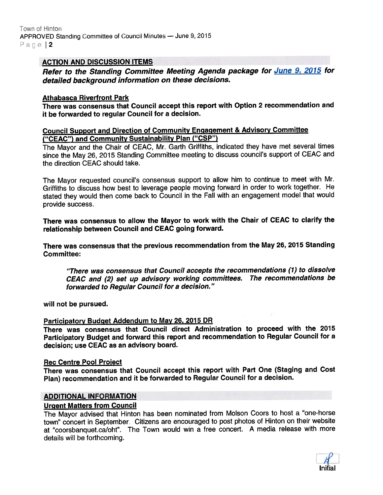### ACTION AND DISCUSSION ITEMS

Refer to the Standing Committee Meeting Agenda package for June 9, 2015 for detailed background information on these decisions.

#### Athabasca Riverfront Park

There was consensus that Council accep<sup>t</sup> this repor<sup>t</sup> with Option <sup>2</sup> recommendation and it be forwarded to regular Council for <sup>a</sup> decision.

### Council Support and Direction of Community Engagement & Advisory Committee ("CEAC") and Community Sustainability Plan ("CSP")

The Mayor and the Chair of CEAC, Mr. Garth Griffiths, indicated they have met several times since the May 26, <sup>2015</sup> Standing Committee meeting to discuss council's suppor<sup>t</sup> of CEAC and the direction CEAC should take.

The Mayor requested council's consensus suppor<sup>t</sup> to allow him to continue to meet with Mr. Gritfiths to discuss how best to leverage people moving forward in order to work together. He stated they would then come back to Council in the Fall with an engagemen<sup>t</sup> model that would provide success.

There was consensus to allow the Mayor to work with the Chair of CEAC to clarify the relationship between Council and CEAC going forward.

There was consensus that the previous recommendation from the May 26, <sup>2015</sup> Standing Committee:

"There was consensus that Council accepts the recommendations (1) to dissolve CEAC and (2) set up advisory working committees. The recommendations be forwarded to Regular Council for <sup>a</sup> decision."

will not be pursued.

# Participatory Budget Addendum to May 26, <sup>2015</sup> DR

There was consensus that Council direct Administration to proceed with the 2075 Participatory Budget and forward this repor<sup>t</sup> and recommendation to Regular Council for <sup>a</sup> decision; use CEAC as an advisory board.

### Rec Centre Pool Project

There was consensus that Council accep<sup>t</sup> this repor<sup>t</sup> with Part One (Staging and Cost Plan) recommendation and it be forwarded to Regular Council for <sup>a</sup> decision.

### ADDITIONAL INFORMATION

### Urgent Matters from Council

The Mayor advised that Hinton has been nominated from Molson Coors to host <sup>a</sup> "one-horse town" concert in September. Citizens are encourage<sup>d</sup> to pos<sup>t</sup> <sup>p</sup>hotos of Hinton on their website at "coorsbanquet.ca/oht". The Town would win <sup>a</sup> free concert. <sup>A</sup> media release with more details will be forthcoming.

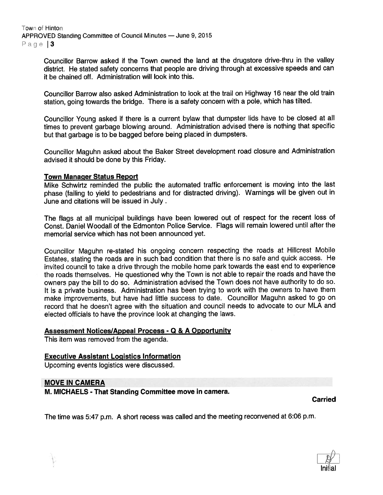Councillor Barrow asked if the Town owned the land at the drugstore drive-thru in the valley district. He stated safety concerns that people are driving through at excessive speeds and can it be chained off. Administration will look into this.

Councillor Barrow also asked Administration to look at the trail on Highway 16 near the old train station, going towards the bridge. There is <sup>a</sup> safety concern with <sup>a</sup> pole, which has tilted.

Councillor Young asked if there is <sup>a</sup> current bylaw that dumpster lids have to be closed at all times to preven<sup>t</sup> garbage blowing around. Administration advised there is nothing that specific but that garbage is to be bagged before being placed in dumpsters.

Councillor Maguhn asked about the Baker Street development road closure and Administration advised it should be done by this Friday.

#### Town Manager Status Report

Mike Schwirtz reminded the public the automated traffic enforcement is moving into the last <sup>p</sup>hase (failing to <sup>y</sup>ield to pedestrians and for distracted driving). Warnings will be <sup>g</sup>iven out in June and citations will be issued in July

The flags at all municipal buildings have been lowered out of respec<sup>t</sup> for the recent loss of Const. Daniel Woodall of the Edmonton Police Service. Flags will remain lowered until after the memorial service which has not been announced yet.

Councillor Maguhn re-stated his ongoing concern respecting the roads at Hillcrest Mobile Estates, stating the roads are in such bad condition that there is no safe and quick access. He invited council to take <sup>a</sup> drive through the mobile home par<sup>k</sup> towards the east end to experience the roads themselves. He questioned why the Town is not able to repair the roads and have the owners pay the bill to do so. Administration advised the Town does not have authority to do so. It is <sup>a</sup> private business. Administration has been trying to work with the owners to have them make improvements, but have had little success to date. Councillor Maguhn asked to go on record that he doesn't agree with the situation and council needs to advocate to our MLA and elected officials to have the province look at changing the laws.

#### Assessment Notices/Appeal Process - Q & A Opportunity

This item was removed from the agenda.

### Executive Assistant Logistics Information

Upcoming events logistics were discussed.

### MOVE IN CAMERA

M. MICHAELS - That Standing Committee move in camera.

Carried

The time was 5:47 p.m. <sup>A</sup> short recess was called and the meeting reconvened at 6:06 p.m.